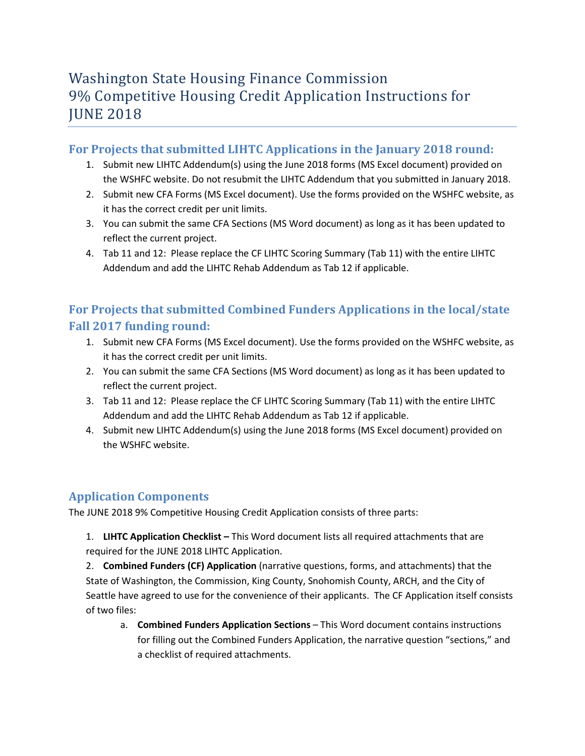# Washington State Housing Finance Commission 9% Competitive Housing Credit Application Instructions for **JUNE 2018**

## **For Projects that submitted LIHTC Applications in the January 2018 round:**

- 1. Submit new LIHTC Addendum(s) using the June 2018 forms (MS Excel document) provided on the WSHFC website. Do not resubmit the LIHTC Addendum that you submitted in January 2018.
- 2. Submit new CFA Forms (MS Excel document). Use the forms provided on the WSHFC website, as it has the correct credit per unit limits.
- 3. You can submit the same CFA Sections (MS Word document) as long as it has been updated to reflect the current project.
- 4. Tab 11 and 12:Please replace the CF LIHTC Scoring Summary (Tab 11) with the entire LIHTC Addendum and add the LIHTC Rehab Addendum as Tab 12 if applicable.

## **For Projects that submitted Combined Funders Applications in the local/state Fall 2017 funding round:**

- 1. Submit new CFA Forms (MS Excel document). Use the forms provided on the WSHFC website, as it has the correct credit per unit limits.
- 2. You can submit the same CFA Sections (MS Word document) as long as it has been updated to reflect the current project.
- 3. Tab 11 and 12:Please replace the CF LIHTC Scoring Summary (Tab 11) with the entire LIHTC Addendum and add the LIHTC Rehab Addendum as Tab 12 if applicable.
- 4. Submit new LIHTC Addendum(s) using the June 2018 forms (MS Excel document) provided on the WSHFC website.

## **Application Components**

The JUNE 2018 9% Competitive Housing Credit Application consists of three parts:

1. **LIHTC Application Checklist –** This Word document lists all required attachments that are required for the JUNE 2018 LIHTC Application.

2. **Combined Funders (CF) Application** (narrative questions, forms, and attachments) that the State of Washington, the Commission, King County, Snohomish County, ARCH, and the City of Seattle have agreed to use for the convenience of their applicants. The CF Application itself consists of two files:

a. **Combined Funders Application Sections** – This Word document contains instructions for filling out the Combined Funders Application, the narrative question "sections," and a checklist of required attachments.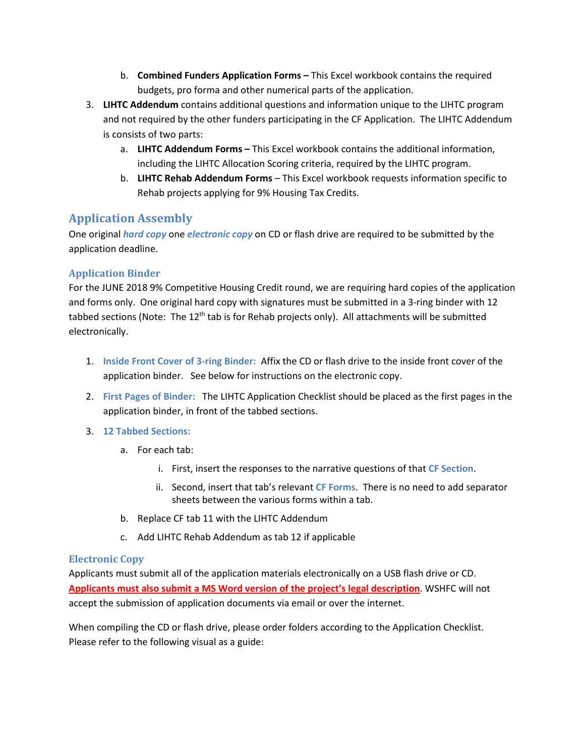- b. **Combined Funders Application Forms –** This Excel workbook contains the required budgets, pro forma and other numerical parts of the application.
- 3. **LIHTC Addendum** contains additional questions and information unique to the LIHTC program and not required by the other funders participating in the CF Application. The LIHTC Addendum is consists of two parts:
	- a. **LIHTC Addendum Forms –** This Excel workbook contains the additional information, including the LIHTC Allocation Scoring criteria, required by the LIHTC program.
	- b. **LIHTC Rehab Addendum Forms**  This Excel workbook requests information specific to Rehab projects applying for 9% Housing Tax Credits.

## **Application Assembly**

One original *hard copy* one *electronic copy* on CD or flash drive are required to be submitted by the application deadline.

### **Application Binder**

For the JUNE 2018 9% Competitive Housing Credit round, we are requiring hard copies of the application and forms only. One original hard copy with signatures must be submitted in a 3-ring binder with 12 tabbed sections (Note: The 12<sup>th</sup> tab is for Rehab projects only). All attachments will be submitted electronically.

- 1. **Inside Front Cover of 3-ring Binder:** Affix the CD or flash drive to the inside front cover of the application binder. See below for instructions on the electronic copy.
- 2. **First Pages of Binder:** The LIHTC Application Checklist should be placed as the first pages in the application binder, in front of the tabbed sections.

### 3. **12 Tabbed Sections:**

- a. For each tab:
	- i. First, insert the responses to the narrative questions of that **CF Section**.
	- ii. Second, insert that tab's relevant **CF Forms**. There is no need to add separator sheets between the various forms within a tab.
- b. Replace CF tab 11 with the LIHTC Addendum
- c. Add LIHTC Rehab Addendum as tab 12 if applicable

### **Electronic Copy**

Applicants must submit all of the application materials electronically on a USB flash drive or CD. **Applicants must also submit a MS Word version of the project's legal description**. WSHFC will not accept the submission of application documents via email or over the internet.

When compiling the CD or flash drive, please order folders according to the Application Checklist. Please refer to the following visual as a guide: